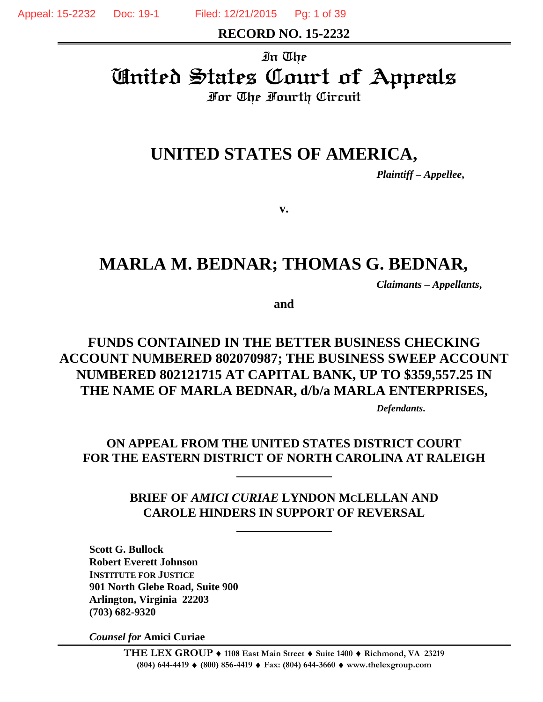Appeal: 15-2232 Doc: 19-1 Filed: 12/21/2015 Pg: 1 of 39

**RECORD NO. 15-2232**

#### In The

United States Court of Appeals For The Fourth Circuit

# **UNITED STATES OF AMERICA,**

*Plaintiff – Appellee***,**

**v.**

# **MARLA M. BEDNAR; THOMAS G. BEDNAR,**

*Claimants – Appellants***,**

**and**

## **FUNDS CONTAINED IN THE BETTER BUSINESS CHECKING ACCOUNT NUMBERED 802070987; THE BUSINESS SWEEP ACCOUNT NUMBERED 802121715 AT CAPITAL BANK, UP TO \$359,557.25 IN THE NAME OF MARLA BEDNAR, d/b/a MARLA ENTERPRISES,**

*Defendants***.**

## **ON APPEAL FROM THE UNITED STATES DISTRICT COURT FOR THE EASTERN DISTRICT OF NORTH CAROLINA AT RALEIGH**

**BRIEF OF** *AMICI CURIAE* **LYNDON MCLELLAN AND CAROLE HINDERS IN SUPPORT OF REVERSAL**

**Scott G. Bullock Robert Everett Johnson INSTITUTE FOR JUSTICE 901 North Glebe Road, Suite 900 Arlington, Virginia 22203 (703) 682-9320**

*Counsel for* **Amici Curiae**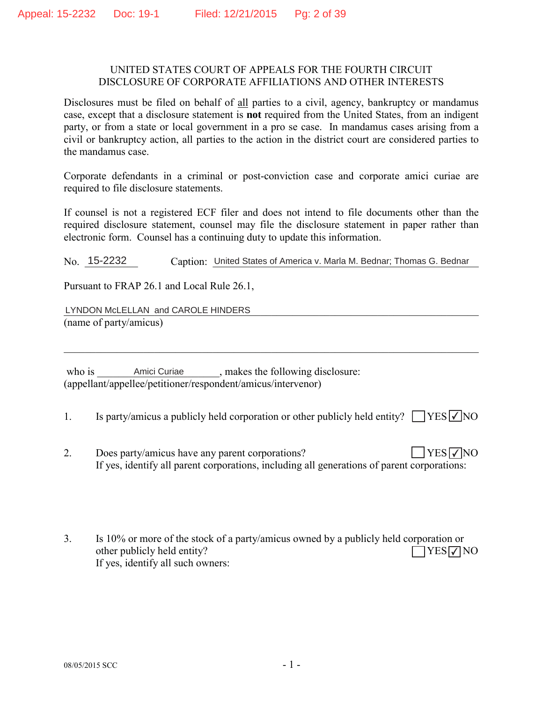#### UNITED STATES COURT OF APPEALS FOR THE FOURTH CIRCUIT DISCLOSURE OF CORPORATE AFFILIATIONS AND OTHER INTERESTS

Disclosures must be filed on behalf of all parties to a civil, agency, bankruptcy or mandamus case, except that a disclosure statement is **not** required from the United States, from an indigent party, or from a state or local government in a pro se case. In mandamus cases arising from a civil or bankruptcy action, all parties to the action in the district court are considered parties to the mandamus case.

Corporate defendants in a criminal or post-conviction case and corporate amici curiae are required to file disclosure statements.

If counsel is not a registered ECF filer and does not intend to file documents other than the required disclosure statement, counsel may file the disclosure statement in paper rather than electronic form. Counsel has a continuing duty to update this information.

No. 15-2232 Caption: United States of America v. Marla M. Bednar; Thomas G. Bednar

Pursuant to FRAP 26.1 and Local Rule 26.1,

BBBBBBBBBBBBBBBBBBBBBBBBBBBBBBBBBBBBBBBBBBBBBBBBBBBBBBBBBBBBBBBBBBBBBBBBBBBBBB LYNDON McLELLAN and CAROLE HINDERS  $(name of party/amicus)$ 

ZKRLVBBBBBBBBBBBBBBBBBBBBBBBPDNHVWKHIROORZLQJGLVFORVXUH Amici Curiae  $\alpha$  (appellant/appellee/petitioner/respondent/amicus/intervenor)

1. Is party/amicus a publicly held corporation or other publicly held entity?  $\Box$  YES  $\Box$  NO

BBBBBBBBBBBBBBBBBBBBBBBBBBBBBBBBBBBBBBBBBBBBBBBBBBBBBBBBBBBBBBBBBBBBBBBBBBBBBB

- 2. Does party/amicus have any parent corporations? If yes, identify all parent corporations, including all generations of parent corporations:  $YES\nabla NO$
- 3. Is 10% or more of the stock of a party/amicus owned by a publicly held corporation or other publicly held entity? If yes, identify all such owners:  $\Box$ YES $\nabla$ NO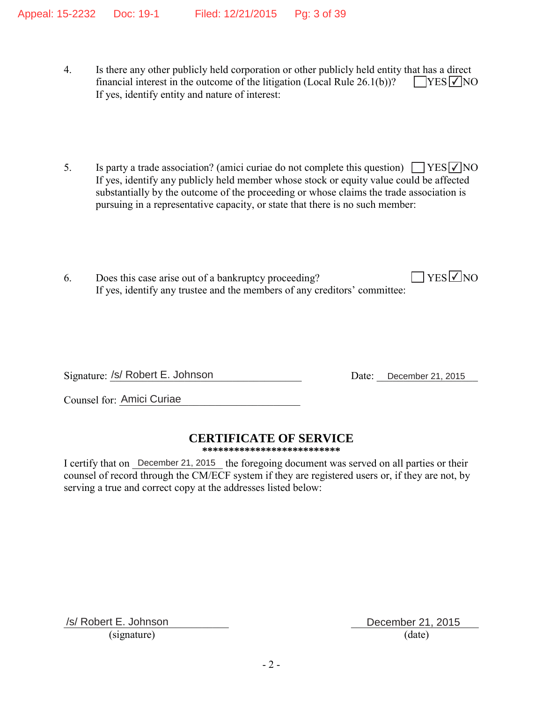- 4. Is there any other publicly held corporation or other publicly held entity that has a direct financial interest in the outcome of the litigation (Local Rule  $26.1(b)$ )? If yes, identify entity and nature of interest:  $YES$   $\vee$  NO
- 5. Is party a trade association? (amici curiae do not complete this question)  $\Box$  YES  $\Box$  NO If yes, identify any publicly held member whose stock or equity value could be affected substantially by the outcome of the proceeding or whose claims the trade association is pursuing in a representative capacity, or state that there is no such member:
- 6. Does this case arise out of a bankruptcy proceeding? If yes, identify any trustee and the members of any creditors' committee:  $\sqrt{\text{YES}}$ NO

Signature: /s/ Robert E. Johnson

Date: December 21, 2015

Counsel for: Amici Curiae

## **CERTIFICATE OF SERVICE**

**\*\*\*\*\*\*\*\*\*\*\*\*\*\*\*\*\*\*\*\*\*\*\*\*\*\***

I certify that on December 21, 2015 the foregoing document was served on all parties or their counsel of record through the CM/ECF system if they are registered users or, if they are not, by serving a true and correct copy at the addresses listed below:

/s/ Robert E. Johnson December 21, 2015  $(signature)$  (date)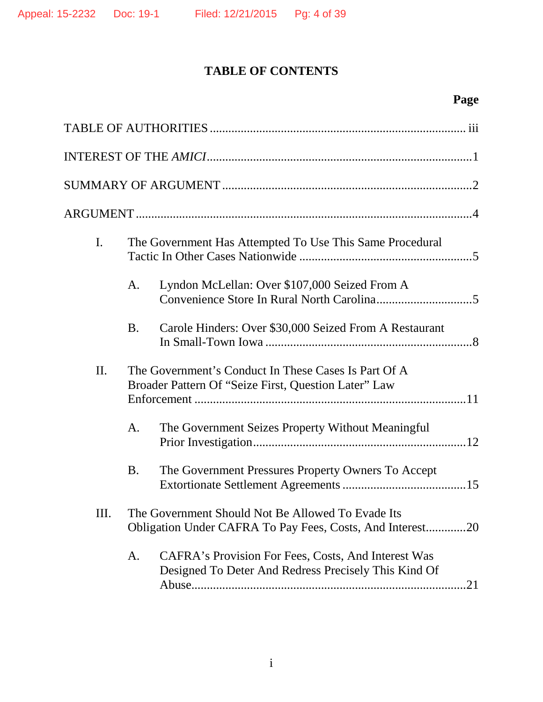## **TABLE OF CONTENTS**

# **Page**

| I.  | The Government Has Attempted To Use This Same Procedural |                                                                                                                |
|-----|----------------------------------------------------------|----------------------------------------------------------------------------------------------------------------|
|     | A.                                                       | Lyndon McLellan: Over \$107,000 Seized From A                                                                  |
|     | <b>B.</b>                                                | Carole Hinders: Over \$30,000 Seized From A Restaurant                                                         |
| II. |                                                          | The Government's Conduct In These Cases Is Part Of A<br>Broader Pattern Of "Seize First, Question Later" Law   |
|     | A.                                                       | The Government Seizes Property Without Meaningful                                                              |
|     | <b>B.</b>                                                | The Government Pressures Property Owners To Accept                                                             |
| Ш.  |                                                          | The Government Should Not Be Allowed To Evade Its<br>Obligation Under CAFRA To Pay Fees, Costs, And Interest20 |
|     | A.                                                       | CAFRA's Provision For Fees, Costs, And Interest Was<br>Designed To Deter And Redress Precisely This Kind Of    |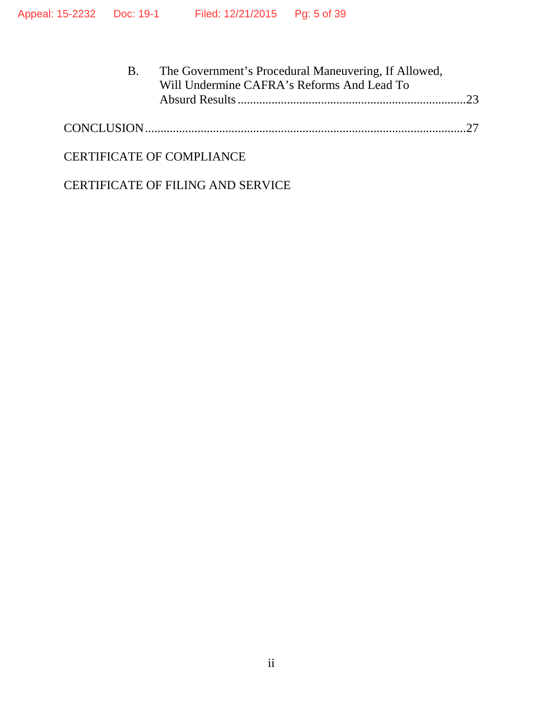| The Government's Procedural Maneuvering, If Allowed, |  |
|------------------------------------------------------|--|
| Will Undermine CAFRA's Reforms And Lead To           |  |
|                                                      |  |
|                                                      |  |

|--|

### CERTIFICATE OF COMPLIANCE

CERTIFICATE OF FILING AND SERVICE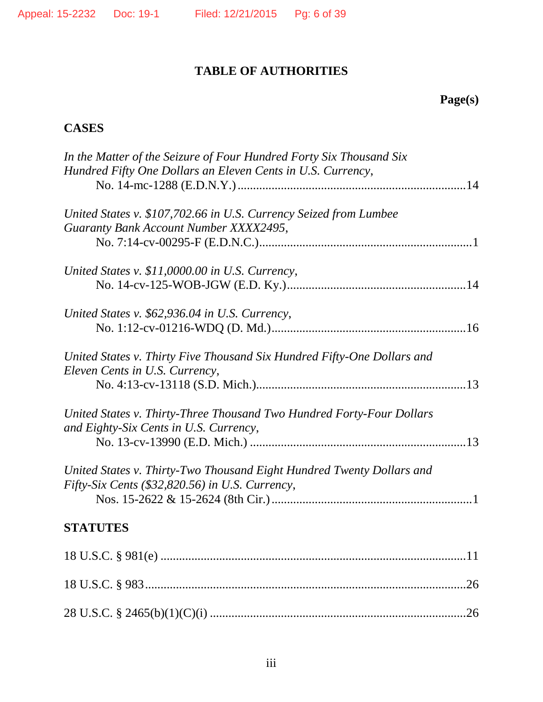## **TABLE OF AUTHORITIES**

## **Page(s)**

## **CASES**

| In the Matter of the Seizure of Four Hundred Forty Six Thousand Six     |
|-------------------------------------------------------------------------|
| Hundred Fifty One Dollars an Eleven Cents in U.S. Currency,             |
| United States v. \$107,702.66 in U.S. Currency Seized from Lumbee       |
| Guaranty Bank Account Number XXXX2495,                                  |
|                                                                         |
| United States v. $$11,0000.00$ in U.S. Currency,                        |
|                                                                         |
| United States v. \$62,936.04 in U.S. Currency,                          |
|                                                                         |
| United States v. Thirty Five Thousand Six Hundred Fifty-One Dollars and |
| Eleven Cents in U.S. Currency,                                          |
|                                                                         |
| United States v. Thirty-Three Thousand Two Hundred Forty-Four Dollars   |
| and Eighty-Six Cents in U.S. Currency,                                  |
|                                                                         |
| United States v. Thirty-Two Thousand Eight Hundred Twenty Dollars and   |
| Fifty-Six Cents $(\$32,820.56)$ in U.S. Currency,                       |
|                                                                         |
| <b>STATUTES</b>                                                         |
|                                                                         |
|                                                                         |
|                                                                         |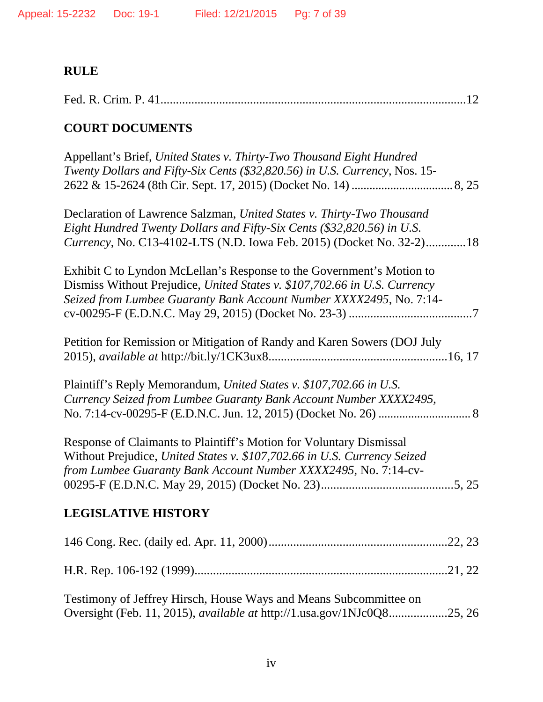# **RULE**

## **COURT DOCUMENTS**

| Appellant's Brief, United States v. Thirty-Two Thousand Eight Hundred<br>Twenty Dollars and Fifty-Six Cents (\$32,820.56) in U.S. Currency, Nos. 15-                                                                      |
|---------------------------------------------------------------------------------------------------------------------------------------------------------------------------------------------------------------------------|
| Declaration of Lawrence Salzman, United States v. Thirty-Two Thousand<br>Eight Hundred Twenty Dollars and Fifty-Six Cents (\$32,820.56) in U.S.<br>Currency, No. C13-4102-LTS (N.D. Iowa Feb. 2015) (Docket No. 32-2)18   |
| Exhibit C to Lyndon McLellan's Response to the Government's Motion to<br>Dismiss Without Prejudice, United States v. \$107,702.66 in U.S. Currency<br>Seized from Lumbee Guaranty Bank Account Number XXXX2495, No. 7:14- |
| Petition for Remission or Mitigation of Randy and Karen Sowers (DOJ July                                                                                                                                                  |
| Plaintiff's Reply Memorandum, United States v. \$107,702.66 in U.S.<br>Currency Seized from Lumbee Guaranty Bank Account Number XXXX2495,                                                                                 |
| Response of Claimants to Plaintiff's Motion for Voluntary Dismissal<br>Without Prejudice, United States v. \$107,702.66 in U.S. Currency Seized<br>from Lumbee Guaranty Bank Account Number XXXX2495, No. 7:14-cv-        |
| <b>LEGISLATIVE HISTORY</b>                                                                                                                                                                                                |
|                                                                                                                                                                                                                           |
|                                                                                                                                                                                                                           |
| Testimony of Jeffrey Hirsch, House Ways and Means Subcommittee on<br>Oversight (Feb. 11, 2015), <i>available at http://1.usa.gov/1NJc0Q825</i> , 26                                                                       |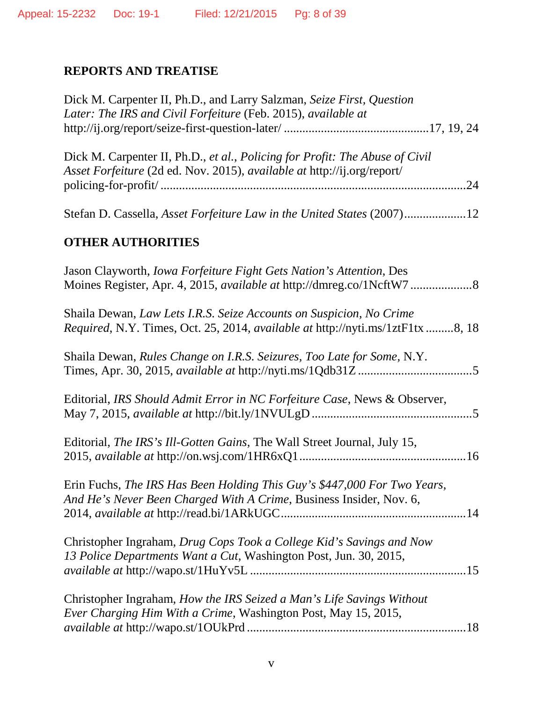## **REPORTS AND TREATISE**

| Dick M. Carpenter II, Ph.D., and Larry Salzman, Seize First, Question<br>Later: The IRS and Civil Forfeiture (Feb. 2015), available at                                |
|-----------------------------------------------------------------------------------------------------------------------------------------------------------------------|
| Dick M. Carpenter II, Ph.D., et al., Policing for Profit: The Abuse of Civil<br><i>Asset Forfeiture</i> (2d ed. Nov. 2015), <i>available at http://ij.org/report/</i> |
|                                                                                                                                                                       |
| Stefan D. Cassella, Asset Forfeiture Law in the United States (2007)12                                                                                                |
| <b>OTHER AUTHORITIES</b>                                                                                                                                              |
| Jason Clayworth, <i>Iowa Forfeiture Fight Gets Nation's Attention</i> , Des<br>Moines Register, Apr. 4, 2015, available at http://dmreg.co/1NcftW78                   |
| Shaila Dewan, Law Lets I.R.S. Seize Accounts on Suspicion, No Crime<br>Required, N.Y. Times, Oct. 25, 2014, available at http://nyti.ms/1ztF1tx8, 18                  |
| Shaila Dewan, Rules Change on I.R.S. Seizures, Too Late for Some, N.Y.                                                                                                |
| Editorial, IRS Should Admit Error in NC Forfeiture Case, News & Observer,                                                                                             |
| Editorial, The IRS's Ill-Gotten Gains, The Wall Street Journal, July 15,                                                                                              |
| Erin Fuchs, The IRS Has Been Holding This Guy's \$447,000 For Two Years,<br>And He's Never Been Charged With A Crime, Business Insider, Nov. 6,                       |
| Christopher Ingraham, Drug Cops Took a College Kid's Savings and Now<br>13 Police Departments Want a Cut, Washington Post, Jun. 30, 2015,                             |
| Christopher Ingraham, How the IRS Seized a Man's Life Savings Without<br>Ever Charging Him With a Crime, Washington Post, May 15, 2015,                               |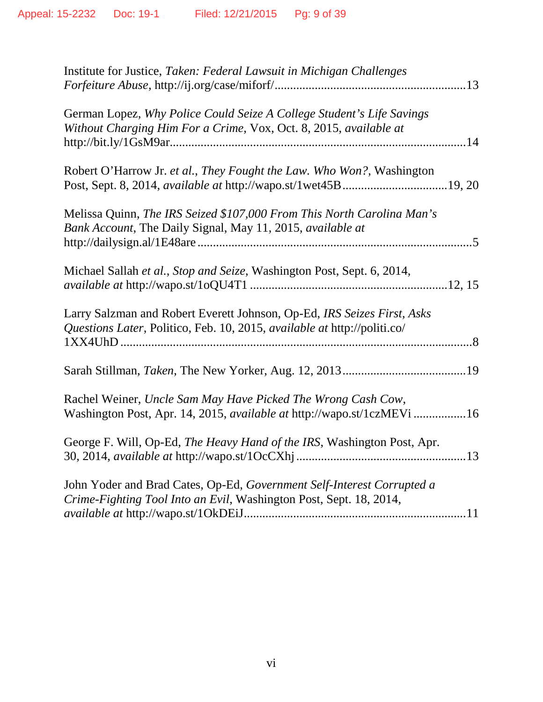| Institute for Justice, Taken: Federal Lawsuit in Michigan Challenges                                                                                |  |
|-----------------------------------------------------------------------------------------------------------------------------------------------------|--|
| German Lopez, Why Police Could Seize A College Student's Life Savings<br>Without Charging Him For a Crime, Vox, Oct. 8, 2015, available at          |  |
| Robert O'Harrow Jr. et al., They Fought the Law. Who Won?, Washington<br>Post, Sept. 8, 2014, available at http://wapo.st/1wet45B19, 20             |  |
| Melissa Quinn, The IRS Seized \$107,000 From This North Carolina Man's<br>Bank Account, The Daily Signal, May 11, 2015, available at                |  |
| Michael Sallah et al., Stop and Seize, Washington Post, Sept. 6, 2014,                                                                              |  |
| Larry Salzman and Robert Everett Johnson, Op-Ed, IRS Seizes First, Asks<br>Questions Later, Politico, Feb. 10, 2015, available at http://politi.co/ |  |
|                                                                                                                                                     |  |
| Rachel Weiner, Uncle Sam May Have Picked The Wrong Cash Cow,<br>Washington Post, Apr. 14, 2015, available at http://wapo.st/1czMEVi16               |  |
| George F. Will, Op-Ed, The Heavy Hand of the IRS, Washington Post, Apr.                                                                             |  |
| John Yoder and Brad Cates, Op-Ed, Government Self-Interest Corrupted a<br>Crime-Fighting Tool Into an Evil, Washington Post, Sept. 18, 2014,        |  |
|                                                                                                                                                     |  |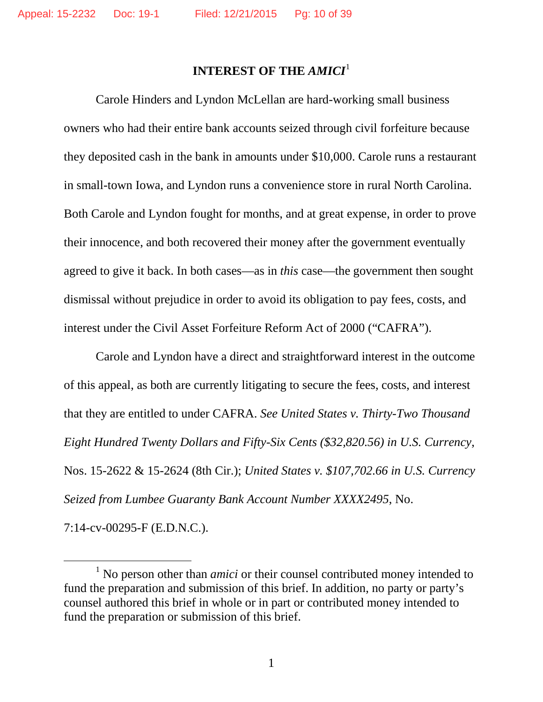### **INTEREST OF THE** *AMICI*[1](#page-9-0)

Carole Hinders and Lyndon McLellan are hard-working small business owners who had their entire bank accounts seized through civil forfeiture because they deposited cash in the bank in amounts under \$10,000. Carole runs a restaurant in small-town Iowa, and Lyndon runs a convenience store in rural North Carolina. Both Carole and Lyndon fought for months, and at great expense, in order to prove their innocence, and both recovered their money after the government eventually agreed to give it back. In both cases—as in *this* case—the government then sought dismissal without prejudice in order to avoid its obligation to pay fees, costs, and interest under the Civil Asset Forfeiture Reform Act of 2000 ("CAFRA").

Carole and Lyndon have a direct and straightforward interest in the outcome of this appeal, as both are currently litigating to secure the fees, costs, and interest that they are entitled to under CAFRA. *See United States v. Thirty-Two Thousand Eight Hundred Twenty Dollars and Fifty-Six Cents (\$32,820.56) in U.S. Currency*, Nos. 15-2622 & 15-2624 (8th Cir.); *United States v. \$107,702.66 in U.S. Currency Seized from Lumbee Guaranty Bank Account Number XXXX2495*, No. 7:14-cv-00295-F (E.D.N.C.).

<span id="page-9-0"></span><sup>&</sup>lt;sup>1</sup> No person other than *amici* or their counsel contributed money intended to fund the preparation and submission of this brief. In addition, no party or party's counsel authored this brief in whole or in part or contributed money intended to fund the preparation or submission of this brief.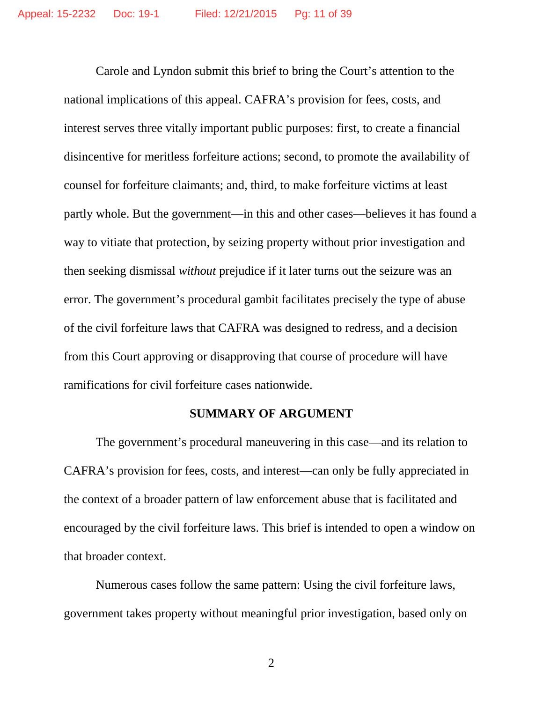Carole and Lyndon submit this brief to bring the Court's attention to the national implications of this appeal. CAFRA's provision for fees, costs, and interest serves three vitally important public purposes: first, to create a financial disincentive for meritless forfeiture actions; second, to promote the availability of counsel for forfeiture claimants; and, third, to make forfeiture victims at least partly whole. But the government—in this and other cases—believes it has found a way to vitiate that protection, by seizing property without prior investigation and then seeking dismissal *without* prejudice if it later turns out the seizure was an error. The government's procedural gambit facilitates precisely the type of abuse of the civil forfeiture laws that CAFRA was designed to redress, and a decision from this Court approving or disapproving that course of procedure will have ramifications for civil forfeiture cases nationwide.

#### **SUMMARY OF ARGUMENT**

The government's procedural maneuvering in this case—and its relation to CAFRA's provision for fees, costs, and interest—can only be fully appreciated in the context of a broader pattern of law enforcement abuse that is facilitated and encouraged by the civil forfeiture laws. This brief is intended to open a window on that broader context.

Numerous cases follow the same pattern: Using the civil forfeiture laws, government takes property without meaningful prior investigation, based only on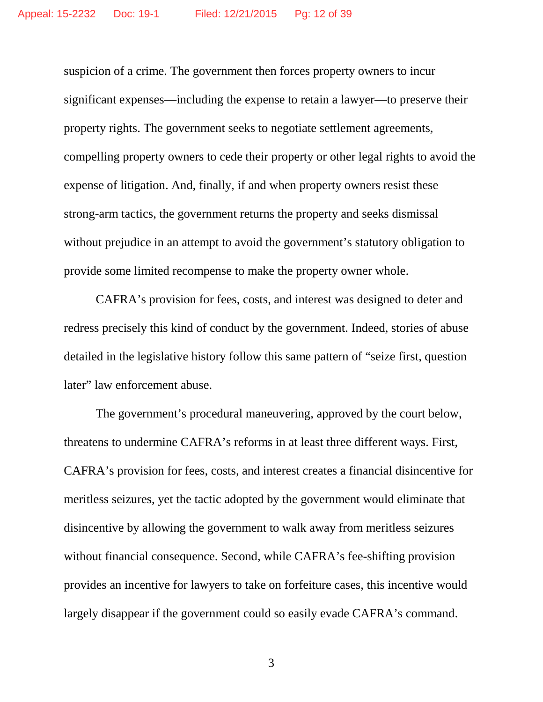suspicion of a crime. The government then forces property owners to incur significant expenses—including the expense to retain a lawyer—to preserve their property rights. The government seeks to negotiate settlement agreements, compelling property owners to cede their property or other legal rights to avoid the expense of litigation. And, finally, if and when property owners resist these strong-arm tactics, the government returns the property and seeks dismissal without prejudice in an attempt to avoid the government's statutory obligation to provide some limited recompense to make the property owner whole.

CAFRA's provision for fees, costs, and interest was designed to deter and redress precisely this kind of conduct by the government. Indeed, stories of abuse detailed in the legislative history follow this same pattern of "seize first, question later" law enforcement abuse.

The government's procedural maneuvering, approved by the court below, threatens to undermine CAFRA's reforms in at least three different ways. First, CAFRA's provision for fees, costs, and interest creates a financial disincentive for meritless seizures, yet the tactic adopted by the government would eliminate that disincentive by allowing the government to walk away from meritless seizures without financial consequence. Second, while CAFRA's fee-shifting provision provides an incentive for lawyers to take on forfeiture cases, this incentive would largely disappear if the government could so easily evade CAFRA's command.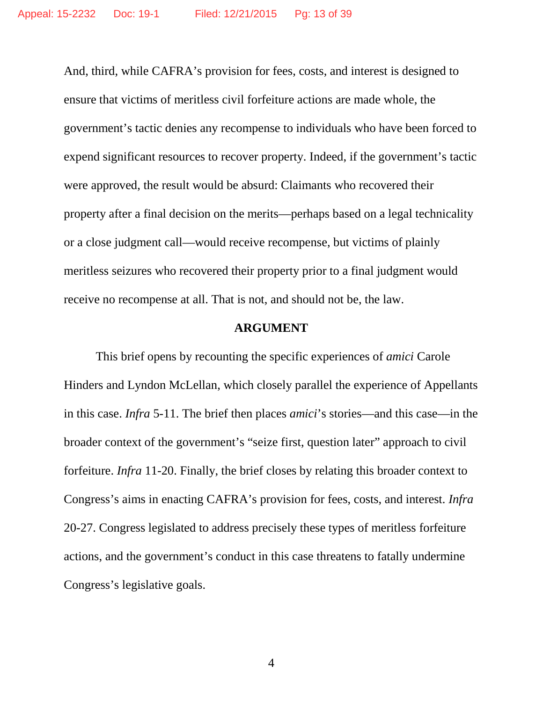And, third, while CAFRA's provision for fees, costs, and interest is designed to ensure that victims of meritless civil forfeiture actions are made whole, the government's tactic denies any recompense to individuals who have been forced to expend significant resources to recover property. Indeed, if the government's tactic were approved, the result would be absurd: Claimants who recovered their property after a final decision on the merits—perhaps based on a legal technicality or a close judgment call—would receive recompense, but victims of plainly meritless seizures who recovered their property prior to a final judgment would receive no recompense at all. That is not, and should not be, the law.

#### **ARGUMENT**

This brief opens by recounting the specific experiences of *amici* Carole Hinders and Lyndon McLellan, which closely parallel the experience of Appellants in this case. *Infra* 5-11. The brief then places *amici*'s stories—and this case—in the broader context of the government's "seize first, question later" approach to civil forfeiture. *Infra* 11-20. Finally, the brief closes by relating this broader context to Congress's aims in enacting CAFRA's provision for fees, costs, and interest. *Infra*  20-27. Congress legislated to address precisely these types of meritless forfeiture actions, and the government's conduct in this case threatens to fatally undermine Congress's legislative goals.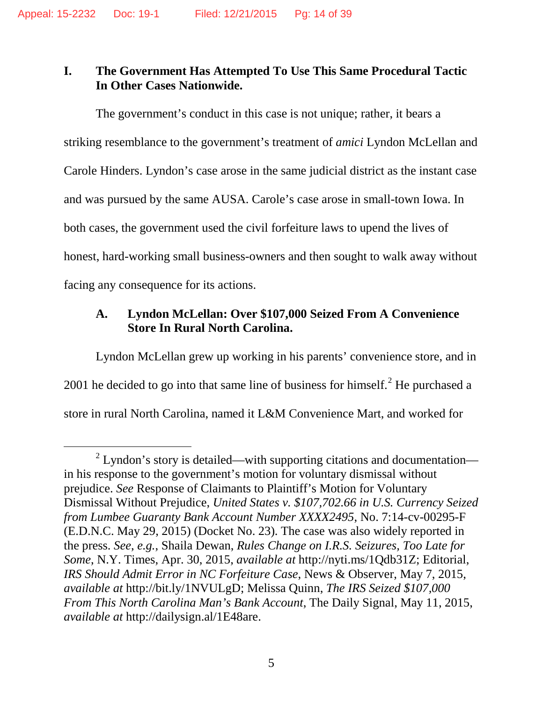## **I. The Government Has Attempted To Use This Same Procedural Tactic In Other Cases Nationwide.**

The government's conduct in this case is not unique; rather, it bears a striking resemblance to the government's treatment of *amici* Lyndon McLellan and Carole Hinders. Lyndon's case arose in the same judicial district as the instant case and was pursued by the same AUSA. Carole's case arose in small-town Iowa. In both cases, the government used the civil forfeiture laws to upend the lives of honest, hard-working small business-owners and then sought to walk away without facing any consequence for its actions.

## **A. Lyndon McLellan: Over \$107,000 Seized From A Convenience Store In Rural North Carolina.**

Lyndon McLellan grew up working in his parents' convenience store, and in [2](#page-13-0)001 he decided to go into that same line of business for himself. $^2$  He purchased a store in rural North Carolina, named it L&M Convenience Mart, and worked for

<span id="page-13-0"></span> $2$  Lyndon's story is detailed—with supporting citations and documentation in his response to the government's motion for voluntary dismissal without prejudice. *See* Response of Claimants to Plaintiff's Motion for Voluntary Dismissal Without Prejudice, *United States v. \$107,702.66 in U.S. Currency Seized from Lumbee Guaranty Bank Account Number XXXX2495*, No. 7:14-cv-00295-F (E.D.N.C. May 29, 2015) (Docket No. 23). The case was also widely reported in the press. *See*, *e.g.*, Shaila Dewan, *Rules Change on I.R.S. Seizures, Too Late for Some*, N.Y. Times, Apr. 30, 2015, *available at* http://nyti.ms/1Qdb31Z; Editorial, *IRS Should Admit Error in NC Forfeiture Case*, News & Observer, May 7, 2015, *available at* http://bit.ly/1NVULgD; Melissa Quinn, *The IRS Seized \$107,000 From This North Carolina Man's Bank Account*, The Daily Signal, May 11, 2015, *available at* http://dailysign.al/1E48are.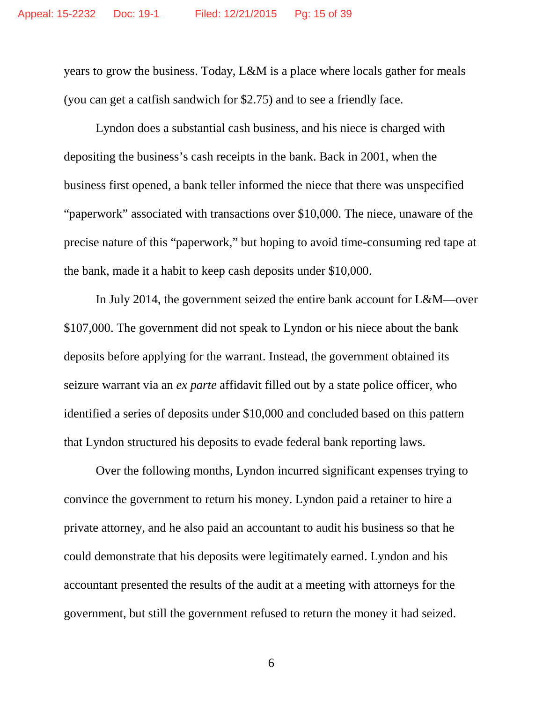years to grow the business. Today, L&M is a place where locals gather for meals (you can get a catfish sandwich for \$2.75) and to see a friendly face.

Lyndon does a substantial cash business, and his niece is charged with depositing the business's cash receipts in the bank. Back in 2001, when the business first opened, a bank teller informed the niece that there was unspecified "paperwork" associated with transactions over \$10,000. The niece, unaware of the precise nature of this "paperwork," but hoping to avoid time-consuming red tape at the bank, made it a habit to keep cash deposits under \$10,000.

In July 2014, the government seized the entire bank account for L&M—over \$107,000. The government did not speak to Lyndon or his niece about the bank deposits before applying for the warrant. Instead, the government obtained its seizure warrant via an *ex parte* affidavit filled out by a state police officer, who identified a series of deposits under \$10,000 and concluded based on this pattern that Lyndon structured his deposits to evade federal bank reporting laws.

Over the following months, Lyndon incurred significant expenses trying to convince the government to return his money. Lyndon paid a retainer to hire a private attorney, and he also paid an accountant to audit his business so that he could demonstrate that his deposits were legitimately earned. Lyndon and his accountant presented the results of the audit at a meeting with attorneys for the government, but still the government refused to return the money it had seized.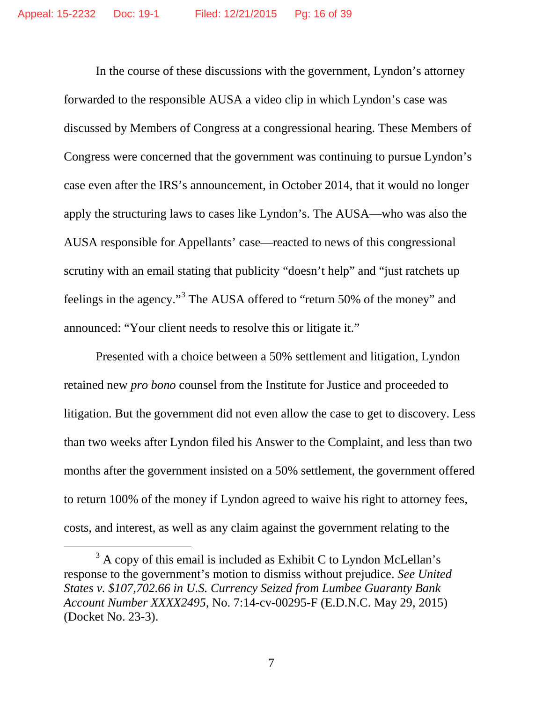In the course of these discussions with the government, Lyndon's attorney forwarded to the responsible AUSA a video clip in which Lyndon's case was discussed by Members of Congress at a congressional hearing. These Members of Congress were concerned that the government was continuing to pursue Lyndon's case even after the IRS's announcement, in October 2014, that it would no longer apply the structuring laws to cases like Lyndon's. The AUSA—who was also the AUSA responsible for Appellants' case—reacted to news of this congressional scrutiny with an email stating that publicity "doesn't help" and "just ratchets up feelings in the agency."<sup>[3](#page-15-0)</sup> The AUSA offered to "return 50% of the money" and announced: "Your client needs to resolve this or litigate it."

Presented with a choice between a 50% settlement and litigation, Lyndon retained new *pro bono* counsel from the Institute for Justice and proceeded to litigation. But the government did not even allow the case to get to discovery. Less than two weeks after Lyndon filed his Answer to the Complaint, and less than two months after the government insisted on a 50% settlement, the government offered to return 100% of the money if Lyndon agreed to waive his right to attorney fees, costs, and interest, as well as any claim against the government relating to the

<span id="page-15-0"></span> $3$  A copy of this email is included as Exhibit C to Lyndon McLellan's response to the government's motion to dismiss without prejudice. *See United States v. \$107,702.66 in U.S. Currency Seized from Lumbee Guaranty Bank Account Number XXXX2495*, No. 7:14-cv-00295-F (E.D.N.C. May 29, 2015) (Docket No. 23-3).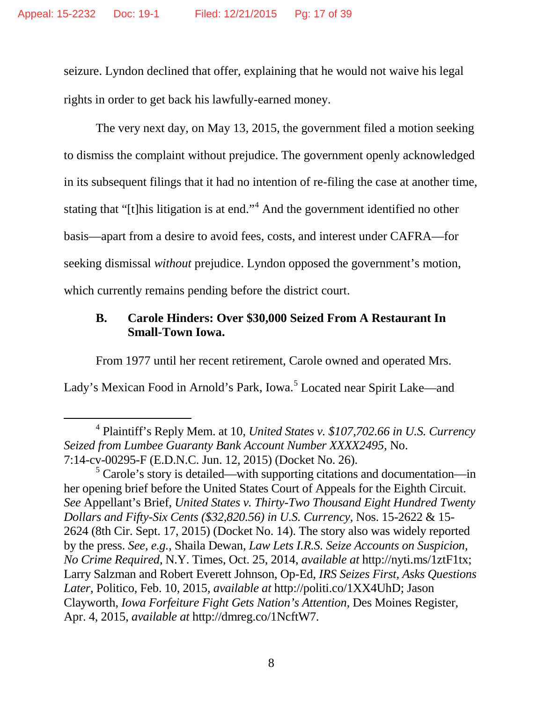seizure. Lyndon declined that offer, explaining that he would not waive his legal rights in order to get back his lawfully-earned money.

The very next day, on May 13, 2015, the government filed a motion seeking to dismiss the complaint without prejudice. The government openly acknowledged in its subsequent filings that it had no intention of re-filing the case at another time, stating that "[t]his litigation is at end."<sup>[4](#page-16-0)</sup> And the government identified no other basis—apart from a desire to avoid fees, costs, and interest under CAFRA—for seeking dismissal *without* prejudice. Lyndon opposed the government's motion, which currently remains pending before the district court.

### **B. Carole Hinders: Over \$30,000 Seized From A Restaurant In Small-Town Iowa.**

From 1977 until her recent retirement, Carole owned and operated Mrs.

Lady's Mexican Food in Arnold's Park, Iowa.<sup>[5](#page-16-1)</sup> Located near Spirit Lake—and

<span id="page-16-0"></span> <sup>4</sup> Plaintiff's Reply Mem. at 10, *United States v. \$107,702.66 in U.S. Currency Seized from Lumbee Guaranty Bank Account Number XXXX2495*, No. 7:14-cv-00295-F (E.D.N.C. Jun. 12, 2015) (Docket No. 26).

<span id="page-16-1"></span> $\frac{5}{5}$  Carole's story is detailed—with supporting citations and documentation—in her opening brief before the United States Court of Appeals for the Eighth Circuit. *See* Appellant's Brief, *United States v. Thirty-Two Thousand Eight Hundred Twenty Dollars and Fifty-Six Cents (\$32,820.56) in U.S. Currency*, Nos. 15-2622 & 15- 2624 (8th Cir. Sept. 17, 2015) (Docket No. 14). The story also was widely reported by the press. *See*, *e.g.*, Shaila Dewan, *Law Lets I.R.S. Seize Accounts on Suspicion, No Crime Required*, N.Y. Times, Oct. 25, 2014, *available at* http://nyti.ms/1ztF1tx; Larry Salzman and Robert Everett Johnson, Op-Ed, *IRS Seizes First, Asks Questions Later*, Politico, Feb. 10, 2015, *available at* http://politi.co/1XX4UhD; Jason Clayworth, *Iowa Forfeiture Fight Gets Nation's Attention*, Des Moines Register, Apr. 4, 2015, *available at* http://dmreg.co/1NcftW7.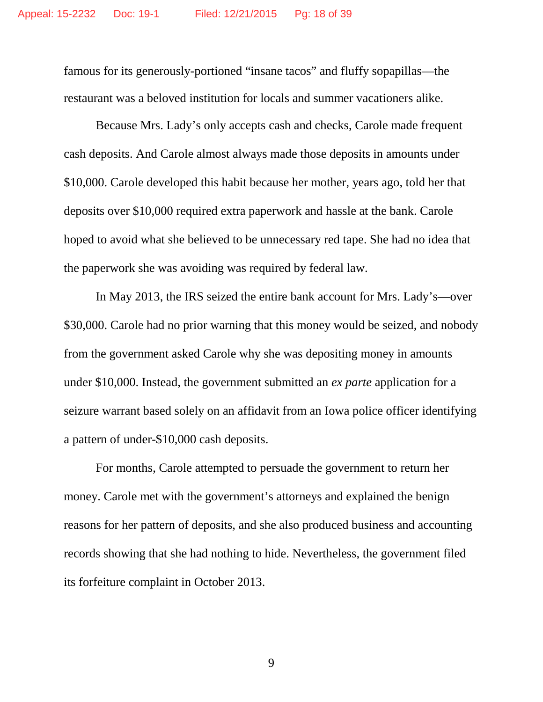famous for its generously-portioned "insane tacos" and fluffy sopapillas—the restaurant was a beloved institution for locals and summer vacationers alike.

Because Mrs. Lady's only accepts cash and checks, Carole made frequent cash deposits. And Carole almost always made those deposits in amounts under \$10,000. Carole developed this habit because her mother, years ago, told her that deposits over \$10,000 required extra paperwork and hassle at the bank. Carole hoped to avoid what she believed to be unnecessary red tape. She had no idea that the paperwork she was avoiding was required by federal law.

In May 2013, the IRS seized the entire bank account for Mrs. Lady's—over \$30,000. Carole had no prior warning that this money would be seized, and nobody from the government asked Carole why she was depositing money in amounts under \$10,000. Instead, the government submitted an *ex parte* application for a seizure warrant based solely on an affidavit from an Iowa police officer identifying a pattern of under-\$10,000 cash deposits.

For months, Carole attempted to persuade the government to return her money. Carole met with the government's attorneys and explained the benign reasons for her pattern of deposits, and she also produced business and accounting records showing that she had nothing to hide. Nevertheless, the government filed its forfeiture complaint in October 2013.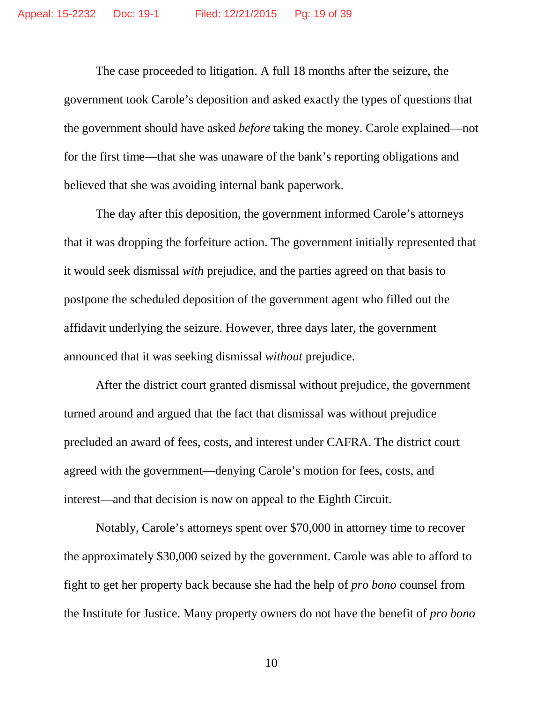The case proceeded to litigation. A full 18 months after the seizure, the government took Carole's deposition and asked exactly the types of questions that the government should have asked *before* taking the money. Carole explained—not for the first time—that she was unaware of the bank's reporting obligations and believed that she was avoiding internal bank paperwork.

The day after this deposition, the government informed Carole's attorneys that it was dropping the forfeiture action. The government initially represented that it would seek dismissal *with* prejudice, and the parties agreed on that basis to postpone the scheduled deposition of the government agent who filled out the affidavit underlying the seizure. However, three days later, the government announced that it was seeking dismissal *without* prejudice.

After the district court granted dismissal without prejudice, the government turned around and argued that the fact that dismissal was without prejudice precluded an award of fees, costs, and interest under CAFRA. The district court agreed with the government—denying Carole's motion for fees, costs, and interest—and that decision is now on appeal to the Eighth Circuit.

Notably, Carole's attorneys spent over \$70,000 in attorney time to recover the approximately \$30,000 seized by the government. Carole was able to afford to fight to get her property back because she had the help of *pro bono* counsel from the Institute for Justice. Many property owners do not have the benefit of *pro bono*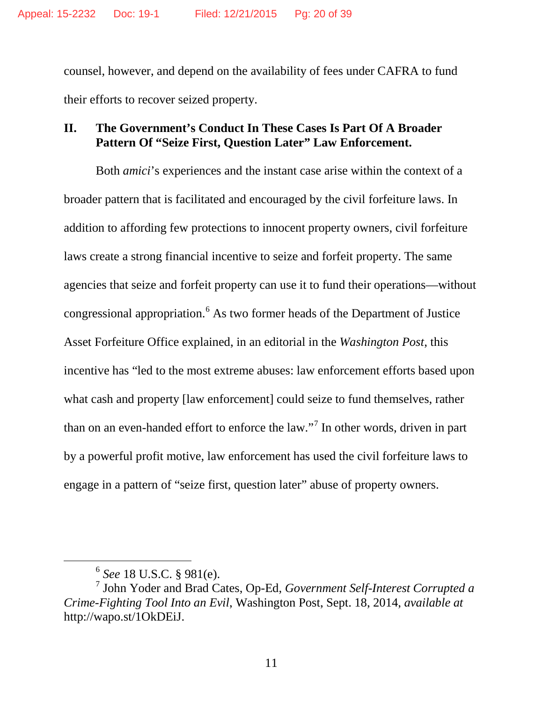counsel, however, and depend on the availability of fees under CAFRA to fund their efforts to recover seized property.

### **II. The Government's Conduct In These Cases Is Part Of A Broader Pattern Of "Seize First, Question Later" Law Enforcement.**

Both *amici*'s experiences and the instant case arise within the context of a broader pattern that is facilitated and encouraged by the civil forfeiture laws. In addition to affording few protections to innocent property owners, civil forfeiture laws create a strong financial incentive to seize and forfeit property. The same agencies that seize and forfeit property can use it to fund their operations—without congressional appropriation.[6](#page-19-0) As two former heads of the Department of Justice Asset Forfeiture Office explained, in an editorial in the *Washington Post*, this incentive has "led to the most extreme abuses: law enforcement efforts based upon what cash and property [law enforcement] could seize to fund themselves, rather than on an even-handed effort to enforce the  $law$ ."<sup>[7](#page-19-1)</sup> In other words, driven in part by a powerful profit motive, law enforcement has used the civil forfeiture laws to engage in a pattern of "seize first, question later" abuse of property owners.

 <sup>6</sup> *See* 18 U.S.C. § 981(e).

<span id="page-19-1"></span><span id="page-19-0"></span><sup>7</sup> John Yoder and Brad Cates, Op-Ed, *Government Self-Interest Corrupted a Crime-Fighting Tool Into an Evil*, Washington Post, Sept. 18, 2014, *available at*  http://wapo.st/1OkDEiJ.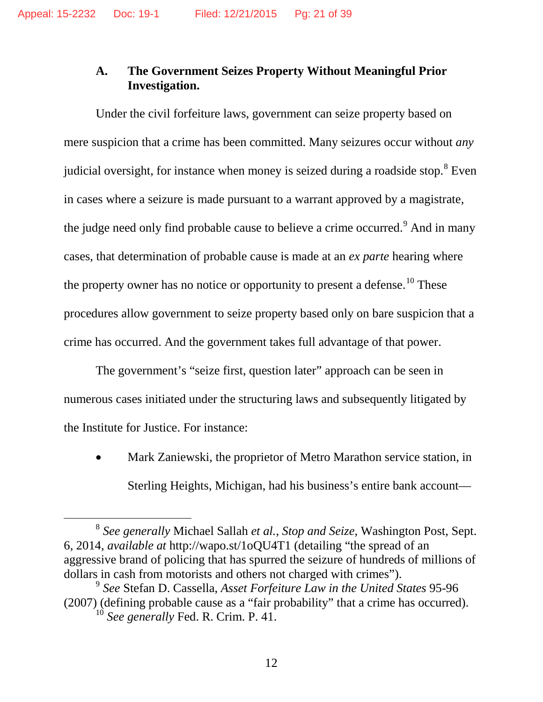### **A. The Government Seizes Property Without Meaningful Prior Investigation.**

Under the civil forfeiture laws, government can seize property based on mere suspicion that a crime has been committed. Many seizures occur without *any* judicial oversight, for instance when money is seized during a roadside stop.<sup>[8](#page-20-0)</sup> Even in cases where a seizure is made pursuant to a warrant approved by a magistrate, the judge need only find probable cause to believe a crime occurred.<sup>[9](#page-20-1)</sup> And in many cases, that determination of probable cause is made at an *ex parte* hearing where the property owner has no notice or opportunity to present a defense.<sup>[10](#page-20-2)</sup> These procedures allow government to seize property based only on bare suspicion that a crime has occurred. And the government takes full advantage of that power.

The government's "seize first, question later" approach can be seen in numerous cases initiated under the structuring laws and subsequently litigated by the Institute for Justice. For instance:

• Mark Zaniewski, the proprietor of Metro Marathon service station, in Sterling Heights, Michigan, had his business's entire bank account—

<span id="page-20-0"></span> <sup>8</sup> *See generally* Michael Sallah *et al.*, *Stop and Seize*, Washington Post, Sept. 6, 2014, *available at* http://wapo.st/1oQU4T1 (detailing "the spread of an aggressive brand of policing that has spurred the seizure of hundreds of millions of dollars in cash from motorists and others not charged with crimes").

<span id="page-20-2"></span><span id="page-20-1"></span><sup>9</sup> *See* Stefan D. Cassella, *Asset Forfeiture Law in the United States* 95-96 (2007) (defining probable cause as a "fair probability" that a crime has occurred). <sup>10</sup> *See generally* Fed. R. Crim. P. 41.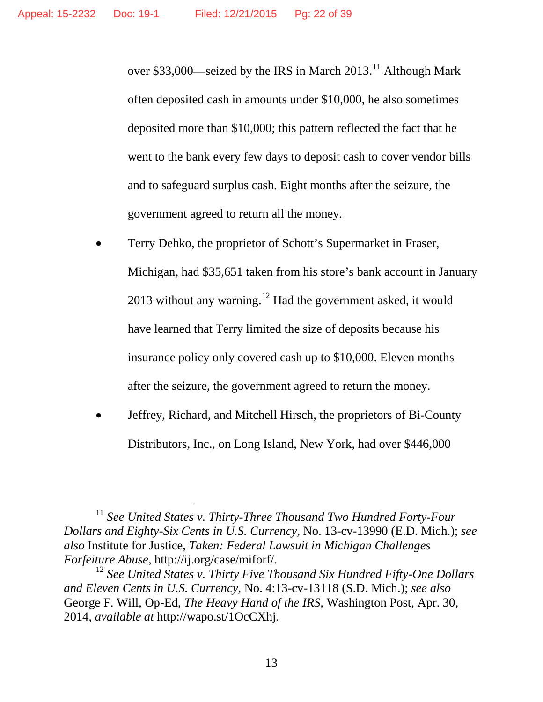over \$33,000—seized by the IRS in March  $2013$ .<sup>[11](#page-21-0)</sup> Although Mark often deposited cash in amounts under \$10,000, he also sometimes deposited more than \$10,000; this pattern reflected the fact that he went to the bank every few days to deposit cash to cover vendor bills and to safeguard surplus cash. Eight months after the seizure, the government agreed to return all the money.

- Terry Dehko, the proprietor of Schott's Supermarket in Fraser, Michigan, had \$35,651 taken from his store's bank account in January 2013 without any warning.<sup>[12](#page-21-1)</sup> Had the government asked, it would have learned that Terry limited the size of deposits because his insurance policy only covered cash up to \$10,000. Eleven months after the seizure, the government agreed to return the money.
- Jeffrey, Richard, and Mitchell Hirsch, the proprietors of Bi-County Distributors, Inc., on Long Island, New York, had over \$446,000

<span id="page-21-0"></span><sup>&</sup>lt;sup>11</sup> See United States v. Thirty-Three Thousand Two Hundred Forty-Four *Dollars and Eighty-Six Cents in U.S. Currency*, No. 13-cv-13990 (E.D. Mich.); *see also* Institute for Justice, *Taken: Federal Lawsuit in Michigan Challenges Forfeiture Abuse*, http://ij.org/case/miforf/.

<span id="page-21-1"></span><sup>&</sup>lt;sup>12</sup> See United States v. Thirty Five Thousand Six Hundred Fifty-One Dollars *and Eleven Cents in U.S. Currency*, No. 4:13-cv-13118 (S.D. Mich.); *see also*  George F. Will, Op-Ed, *The Heavy Hand of the IRS*, Washington Post, Apr. 30, 2014, *available at* http://wapo.st/1OcCXhj.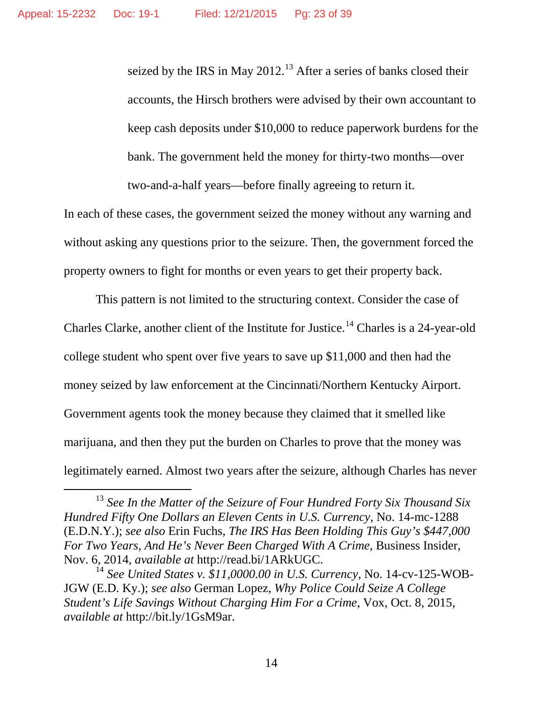seized by the IRS in May  $2012$ .<sup>[13](#page-22-0)</sup> After a series of banks closed their accounts, the Hirsch brothers were advised by their own accountant to keep cash deposits under \$10,000 to reduce paperwork burdens for the bank. The government held the money for thirty-two months—over two-and-a-half years—before finally agreeing to return it.

In each of these cases, the government seized the money without any warning and without asking any questions prior to the seizure. Then, the government forced the property owners to fight for months or even years to get their property back.

This pattern is not limited to the structuring context. Consider the case of Charles Clarke, another client of the Institute for Justice.<sup>[14](#page-22-1)</sup> Charles is a 24-year-old college student who spent over five years to save up \$11,000 and then had the money seized by law enforcement at the Cincinnati/Northern Kentucky Airport. Government agents took the money because they claimed that it smelled like marijuana, and then they put the burden on Charles to prove that the money was legitimately earned. Almost two years after the seizure, although Charles has never

<span id="page-22-0"></span><sup>&</sup>lt;sup>13</sup> See In the Matter of the Seizure of Four Hundred Forty Six Thousand Six *Hundred Fifty One Dollars an Eleven Cents in U.S. Currency*, No. 14-mc-1288 (E.D.N.Y.); *see also* Erin Fuchs, *The IRS Has Been Holding This Guy's \$447,000 For Two Years, And He's Never Been Charged With A Crime*, Business Insider, Nov. 6, 2014, *available at* http://read.bi/1ARkUGC.

<span id="page-22-1"></span><sup>14</sup> *See United States v. \$11,0000.00 in U.S. Currency*, No. 14-cv-125-WOB-JGW (E.D. Ky.); *see also* German Lopez, *Why Police Could Seize A College Student's Life Savings Without Charging Him For a Crime*, Vox, Oct. 8, 2015, *available at* http://bit.ly/1GsM9ar.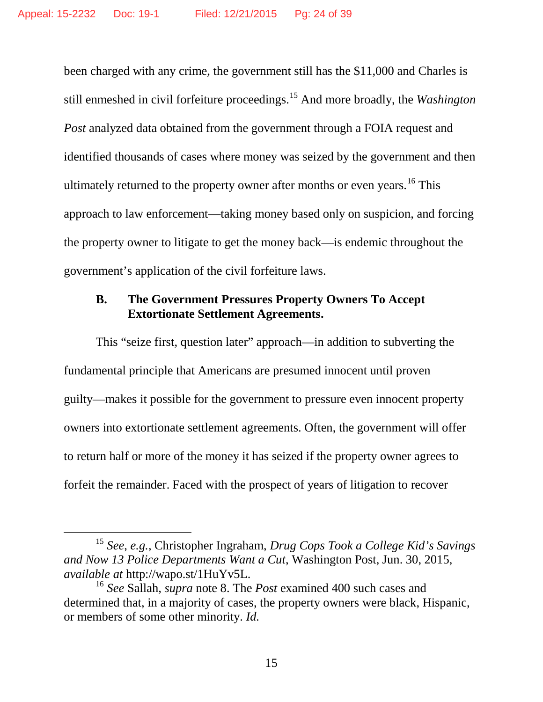been charged with any crime, the government still has the \$11,000 and Charles is still enmeshed in civil forfeiture proceedings.[15](#page-23-0) And more broadly, the *Washington Post* analyzed data obtained from the government through a FOIA request and identified thousands of cases where money was seized by the government and then ultimately returned to the property owner after months or even years.<sup>[16](#page-23-1)</sup> This approach to law enforcement—taking money based only on suspicion, and forcing the property owner to litigate to get the money back—is endemic throughout the government's application of the civil forfeiture laws.

#### **B. The Government Pressures Property Owners To Accept Extortionate Settlement Agreements.**

This "seize first, question later" approach—in addition to subverting the fundamental principle that Americans are presumed innocent until proven guilty—makes it possible for the government to pressure even innocent property owners into extortionate settlement agreements. Often, the government will offer to return half or more of the money it has seized if the property owner agrees to forfeit the remainder. Faced with the prospect of years of litigation to recover

<span id="page-23-0"></span> <sup>15</sup> *See*, *e.g.*, Christopher Ingraham, *Drug Cops Took a College Kid's Savings and Now 13 Police Departments Want a Cut*, Washington Post, Jun. 30, 2015, *available at* http://wapo.st/1HuYv5L.

<span id="page-23-1"></span><sup>16</sup> *See* Sallah, *supra* note 8. The *Post* examined 400 such cases and determined that, in a majority of cases, the property owners were black, Hispanic, or members of some other minority. *Id.*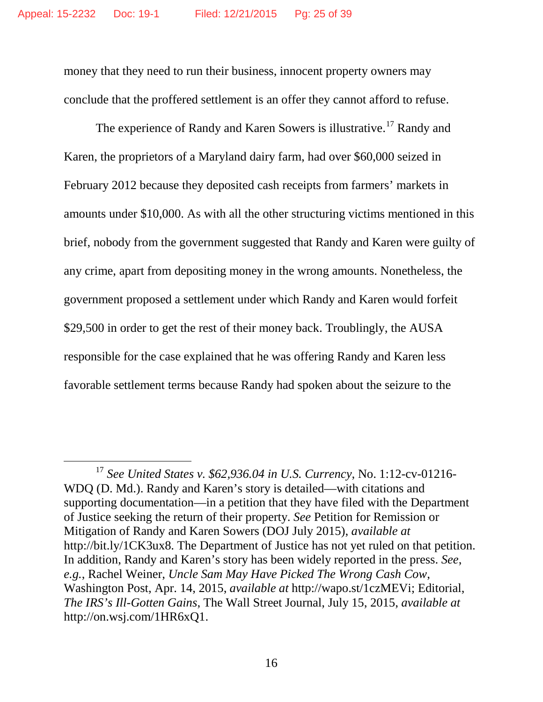money that they need to run their business, innocent property owners may conclude that the proffered settlement is an offer they cannot afford to refuse.

The experience of Randy and Karen Sowers is illustrative.<sup>[17](#page-24-0)</sup> Randy and Karen, the proprietors of a Maryland dairy farm, had over \$60,000 seized in February 2012 because they deposited cash receipts from farmers' markets in amounts under \$10,000. As with all the other structuring victims mentioned in this brief, nobody from the government suggested that Randy and Karen were guilty of any crime, apart from depositing money in the wrong amounts. Nonetheless, the government proposed a settlement under which Randy and Karen would forfeit \$29,500 in order to get the rest of their money back. Troublingly, the AUSA responsible for the case explained that he was offering Randy and Karen less favorable settlement terms because Randy had spoken about the seizure to the

<span id="page-24-0"></span> <sup>17</sup> *See United States v. \$62,936.04 in U.S. Currency*, No. 1:12-cv-01216- WDQ (D. Md.). Randy and Karen's story is detailed—with citations and supporting documentation—in a petition that they have filed with the Department of Justice seeking the return of their property. *See* Petition for Remission or Mitigation of Randy and Karen Sowers (DOJ July 2015), *available at* http://bit.ly/1CK3ux8. The Department of Justice has not yet ruled on that petition. In addition, Randy and Karen's story has been widely reported in the press. *See*, *e.g.*, Rachel Weiner, *Uncle Sam May Have Picked The Wrong Cash Cow*, Washington Post, Apr. 14, 2015, *available at* http://wapo.st/1czMEVi; Editorial, *The IRS's Ill-Gotten Gains*, The Wall Street Journal, July 15, 2015, *available at*  http://on.wsj.com/1HR6xQ1.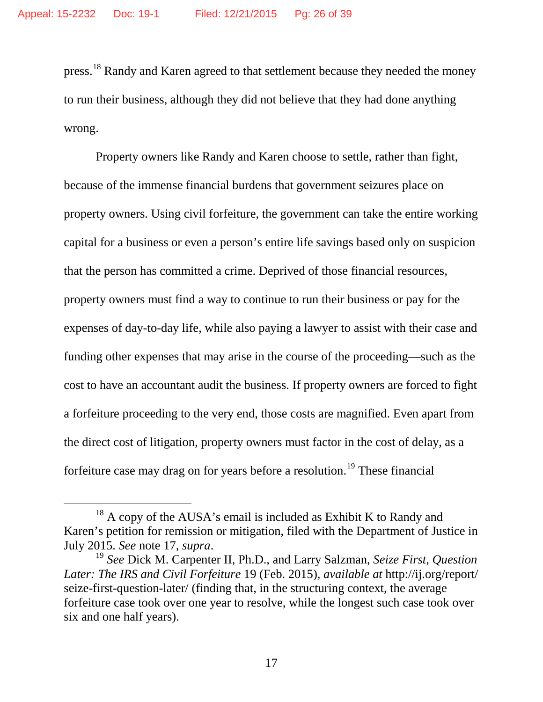press.<sup>[18](#page-25-0)</sup> Randy and Karen agreed to that settlement because they needed the money to run their business, although they did not believe that they had done anything wrong.

Property owners like Randy and Karen choose to settle, rather than fight, because of the immense financial burdens that government seizures place on property owners. Using civil forfeiture, the government can take the entire working capital for a business or even a person's entire life savings based only on suspicion that the person has committed a crime. Deprived of those financial resources, property owners must find a way to continue to run their business or pay for the expenses of day-to-day life, while also paying a lawyer to assist with their case and funding other expenses that may arise in the course of the proceeding—such as the cost to have an accountant audit the business. If property owners are forced to fight a forfeiture proceeding to the very end, those costs are magnified. Even apart from the direct cost of litigation, property owners must factor in the cost of delay, as a forfeiture case may drag on for years before a resolution.<sup>[19](#page-25-1)</sup> These financial

<span id="page-25-0"></span> $18$  A copy of the AUSA's email is included as Exhibit K to Randy and Karen's petition for remission or mitigation, filed with the Department of Justice in July 2015. *See* note 17, *supra*.

<span id="page-25-1"></span><sup>19</sup> *See* Dick M. Carpenter II, Ph.D., and Larry Salzman, *Seize First, Question Later: The IRS and Civil Forfeiture* 19 (Feb. 2015), *available at* http://ij.org/report/ seize-first-question-later/ (finding that, in the structuring context, the average forfeiture case took over one year to resolve, while the longest such case took over six and one half years).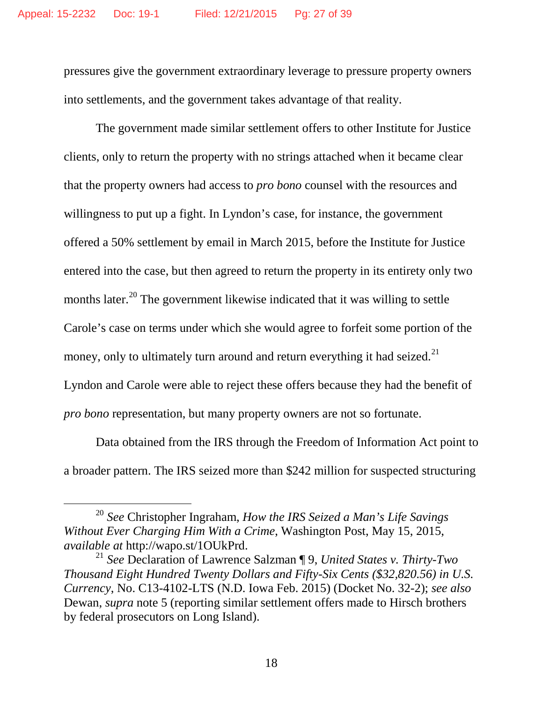pressures give the government extraordinary leverage to pressure property owners into settlements, and the government takes advantage of that reality.

The government made similar settlement offers to other Institute for Justice clients, only to return the property with no strings attached when it became clear that the property owners had access to *pro bono* counsel with the resources and willingness to put up a fight. In Lyndon's case, for instance, the government offered a 50% settlement by email in March 2015, before the Institute for Justice entered into the case, but then agreed to return the property in its entirety only two months later.<sup>[20](#page-26-0)</sup> The government likewise indicated that it was willing to settle Carole's case on terms under which she would agree to forfeit some portion of the money, only to ultimately turn around and return everything it had seized.<sup>[21](#page-26-1)</sup> Lyndon and Carole were able to reject these offers because they had the benefit of *pro bono* representation, but many property owners are not so fortunate.

Data obtained from the IRS through the Freedom of Information Act point to a broader pattern. The IRS seized more than \$242 million for suspected structuring

<span id="page-26-0"></span> <sup>20</sup> *See* Christopher Ingraham, *How the IRS Seized a Man's Life Savings Without Ever Charging Him With a Crime*, Washington Post, May 15, 2015, *available at* http://wapo.st/1OUkPrd.

<span id="page-26-1"></span><sup>21</sup> *See* Declaration of Lawrence Salzman ¶ 9, *United States v. Thirty-Two Thousand Eight Hundred Twenty Dollars and Fifty-Six Cents (\$32,820.56) in U.S. Currency*, No. C13-4102-LTS (N.D. Iowa Feb. 2015) (Docket No. 32-2); *see also*  Dewan, *supra* note 5 (reporting similar settlement offers made to Hirsch brothers by federal prosecutors on Long Island).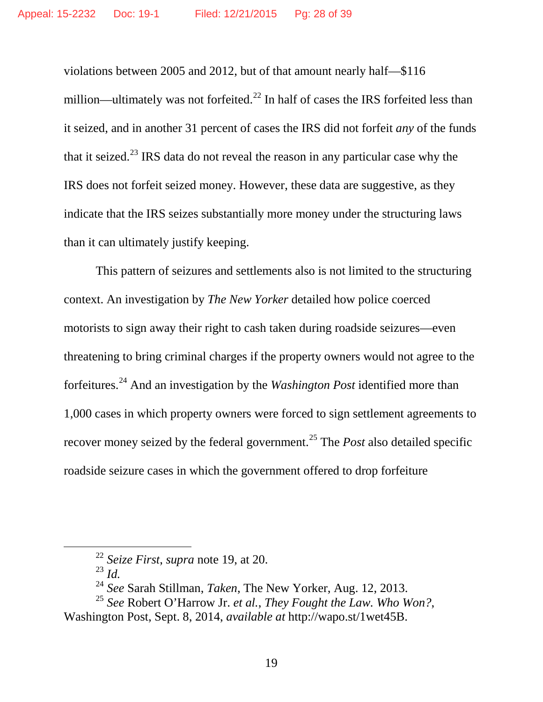violations between 2005 and 2012, but of that amount nearly half—\$116 million—ultimately was not forfeited.<sup>[22](#page-27-0)</sup> In half of cases the IRS forfeited less than it seized, and in another 31 percent of cases the IRS did not forfeit *any* of the funds that it seized.<sup>[23](#page-27-1)</sup> IRS data do not reveal the reason in any particular case why the IRS does not forfeit seized money. However, these data are suggestive, as they indicate that the IRS seizes substantially more money under the structuring laws than it can ultimately justify keeping.

This pattern of seizures and settlements also is not limited to the structuring context. An investigation by *The New Yorker* detailed how police coerced motorists to sign away their right to cash taken during roadside seizures—even threatening to bring criminal charges if the property owners would not agree to the forfeitures. [24](#page-27-2) And an investigation by the *Washington Post* identified more than 1,000 cases in which property owners were forced to sign settlement agreements to recover money seized by the federal government.<sup>[25](#page-27-3)</sup> The *Post* also detailed specific roadside seizure cases in which the government offered to drop forfeiture

<sup>23</sup> *Id.*

 <sup>22</sup> *Seize First*, *supra* note 19, at 20.

<sup>24</sup> *See* Sarah Stillman, *Taken*, The New Yorker, Aug. 12, 2013.

<span id="page-27-3"></span><span id="page-27-2"></span><span id="page-27-1"></span><span id="page-27-0"></span><sup>25</sup> *See* Robert O'Harrow Jr. *et al.*, *They Fought the Law. Who Won?*, Washington Post, Sept. 8, 2014, *available at* http://wapo.st/1wet45B.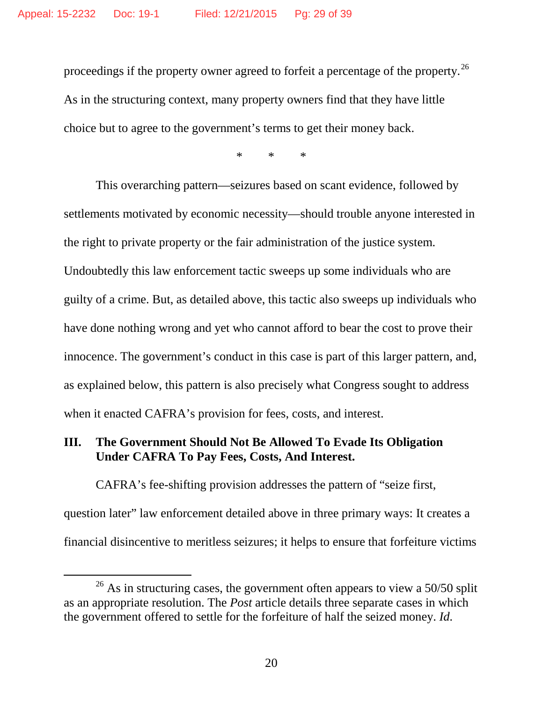proceedings if the property owner agreed to forfeit a percentage of the property.[26](#page-28-0) As in the structuring context, many property owners find that they have little choice but to agree to the government's terms to get their money back.

\* \* \*

This overarching pattern—seizures based on scant evidence, followed by settlements motivated by economic necessity—should trouble anyone interested in the right to private property or the fair administration of the justice system. Undoubtedly this law enforcement tactic sweeps up some individuals who are guilty of a crime. But, as detailed above, this tactic also sweeps up individuals who have done nothing wrong and yet who cannot afford to bear the cost to prove their innocence. The government's conduct in this case is part of this larger pattern, and, as explained below, this pattern is also precisely what Congress sought to address when it enacted CAFRA's provision for fees, costs, and interest.

### **III. The Government Should Not Be Allowed To Evade Its Obligation Under CAFRA To Pay Fees, Costs, And Interest.**

CAFRA's fee-shifting provision addresses the pattern of "seize first, question later" law enforcement detailed above in three primary ways: It creates a financial disincentive to meritless seizures; it helps to ensure that forfeiture victims

<span id="page-28-0"></span> $26$  As in structuring cases, the government often appears to view a 50/50 split as an appropriate resolution. The *Post* article details three separate cases in which the government offered to settle for the forfeiture of half the seized money. *Id.*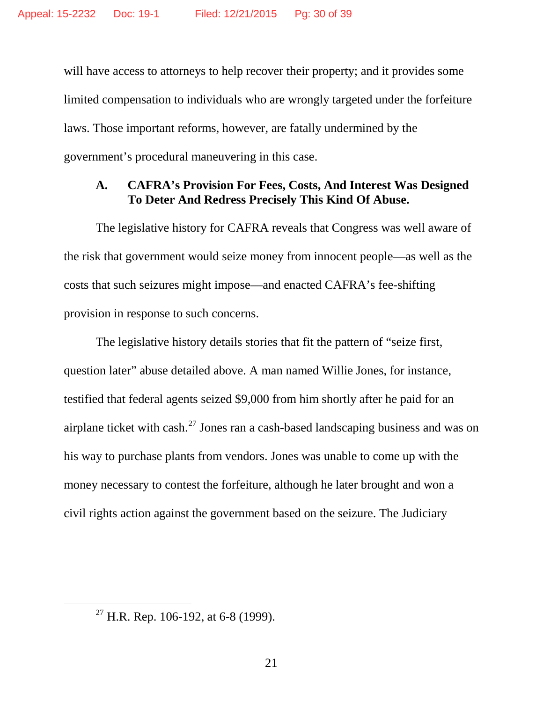will have access to attorneys to help recover their property; and it provides some limited compensation to individuals who are wrongly targeted under the forfeiture laws. Those important reforms, however, are fatally undermined by the government's procedural maneuvering in this case.

#### **A. CAFRA's Provision For Fees, Costs, And Interest Was Designed To Deter And Redress Precisely This Kind Of Abuse.**

The legislative history for CAFRA reveals that Congress was well aware of the risk that government would seize money from innocent people—as well as the costs that such seizures might impose—and enacted CAFRA's fee-shifting provision in response to such concerns.

The legislative history details stories that fit the pattern of "seize first, question later" abuse detailed above. A man named Willie Jones, for instance, testified that federal agents seized \$9,000 from him shortly after he paid for an airplane ticket with cash.<sup>[27](#page-29-0)</sup> Jones ran a cash-based landscaping business and was on his way to purchase plants from vendors. Jones was unable to come up with the money necessary to contest the forfeiture, although he later brought and won a civil rights action against the government based on the seizure. The Judiciary

<span id="page-29-0"></span><sup>&</sup>lt;sup>27</sup> H.R. Rep. 106-192, at 6-8 (1999).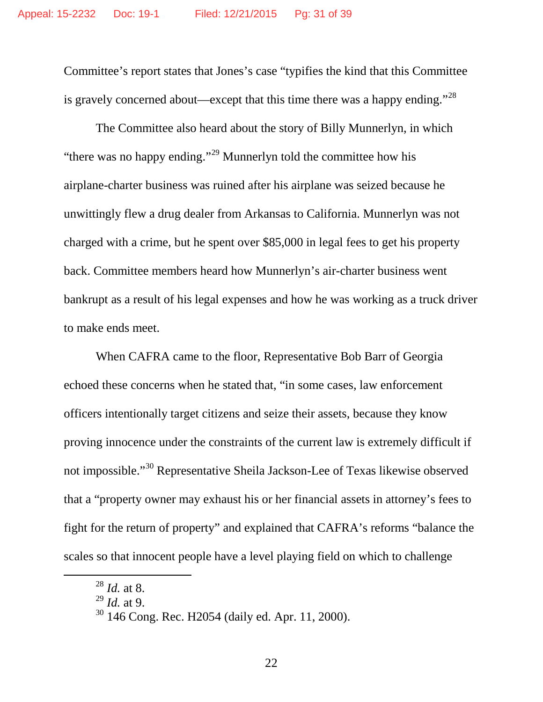Committee's report states that Jones's case "typifies the kind that this Committee is gravely concerned about—except that this time there was a happy ending."<sup>[28](#page-30-0)</sup>

The Committee also heard about the story of Billy Munnerlyn, in which "there was no happy ending."<sup>[29](#page-30-1)</sup> Munnerlyn told the committee how his airplane-charter business was ruined after his airplane was seized because he unwittingly flew a drug dealer from Arkansas to California. Munnerlyn was not charged with a crime, but he spent over \$85,000 in legal fees to get his property back. Committee members heard how Munnerlyn's air-charter business went bankrupt as a result of his legal expenses and how he was working as a truck driver to make ends meet.

When CAFRA came to the floor, Representative Bob Barr of Georgia echoed these concerns when he stated that, "in some cases, law enforcement officers intentionally target citizens and seize their assets, because they know proving innocence under the constraints of the current law is extremely difficult if not impossible."<sup>[30](#page-30-2)</sup> Representative Sheila Jackson-Lee of Texas likewise observed that a "property owner may exhaust his or her financial assets in attorney's fees to fight for the return of property" and explained that CAFRA's reforms "balance the scales so that innocent people have a level playing field on which to challenge

<span id="page-30-0"></span> <sup>28</sup> *Id.* at 8.

<span id="page-30-1"></span><sup>29</sup> *Id.* at 9.

<span id="page-30-2"></span><sup>30</sup> 146 Cong. Rec. H2054 (daily ed. Apr. 11, 2000).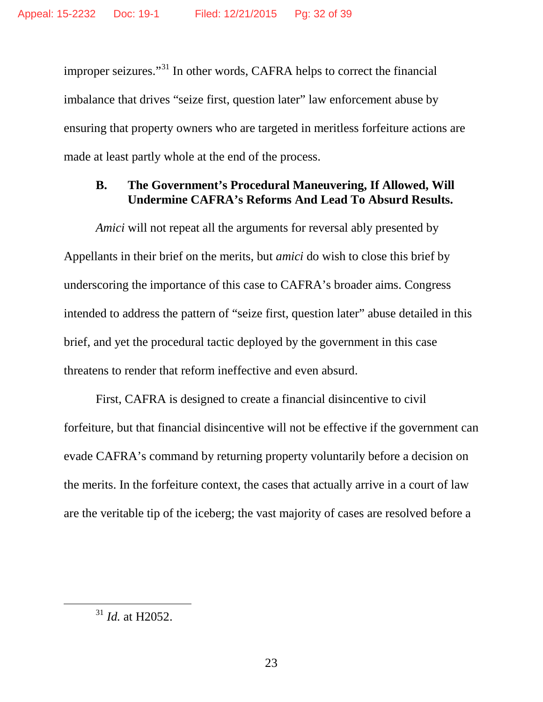improper seizures."<sup>[31](#page-31-0)</sup> In other words, CAFRA helps to correct the financial imbalance that drives "seize first, question later" law enforcement abuse by ensuring that property owners who are targeted in meritless forfeiture actions are made at least partly whole at the end of the process.

### **B. The Government's Procedural Maneuvering, If Allowed, Will Undermine CAFRA's Reforms And Lead To Absurd Results.**

*Amici* will not repeat all the arguments for reversal ably presented by Appellants in their brief on the merits, but *amici* do wish to close this brief by underscoring the importance of this case to CAFRA's broader aims. Congress intended to address the pattern of "seize first, question later" abuse detailed in this brief, and yet the procedural tactic deployed by the government in this case threatens to render that reform ineffective and even absurd.

First, CAFRA is designed to create a financial disincentive to civil forfeiture, but that financial disincentive will not be effective if the government can evade CAFRA's command by returning property voluntarily before a decision on the merits. In the forfeiture context, the cases that actually arrive in a court of law are the veritable tip of the iceberg; the vast majority of cases are resolved before a

<span id="page-31-0"></span> <sup>31</sup> *Id.* at H2052.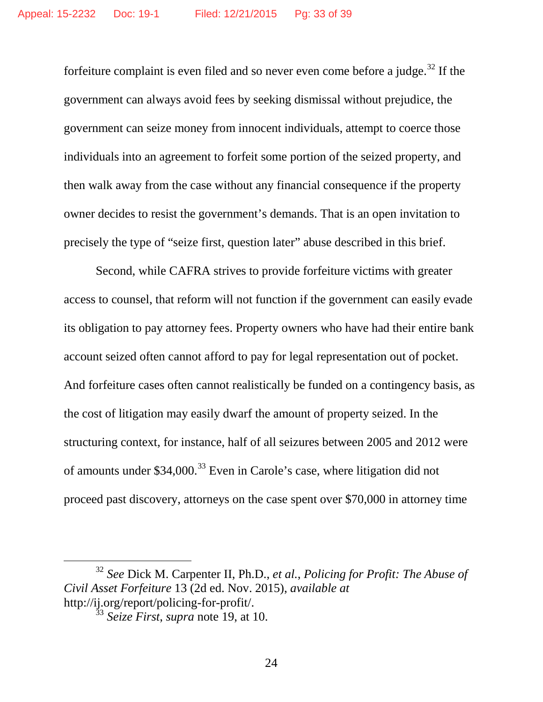forfeiture complaint is even filed and so never even come before a judge.<sup>[32](#page-32-0)</sup> If the government can always avoid fees by seeking dismissal without prejudice, the government can seize money from innocent individuals, attempt to coerce those individuals into an agreement to forfeit some portion of the seized property, and then walk away from the case without any financial consequence if the property owner decides to resist the government's demands. That is an open invitation to precisely the type of "seize first, question later" abuse described in this brief.

Second, while CAFRA strives to provide forfeiture victims with greater access to counsel, that reform will not function if the government can easily evade its obligation to pay attorney fees. Property owners who have had their entire bank account seized often cannot afford to pay for legal representation out of pocket. And forfeiture cases often cannot realistically be funded on a contingency basis, as the cost of litigation may easily dwarf the amount of property seized. In the structuring context, for instance, half of all seizures between 2005 and 2012 were of amounts under \$34,000.<sup>[33](#page-32-1)</sup> Even in Carole's case, where litigation did not proceed past discovery, attorneys on the case spent over \$70,000 in attorney time

<span id="page-32-1"></span><span id="page-32-0"></span> <sup>32</sup> *See* Dick M. Carpenter II, Ph.D., *et al.*, *Policing for Profit: The Abuse of Civil Asset Forfeiture* 13 (2d ed. Nov. 2015), *available at* http://ij.org/report/policing-for-profit/.

<sup>33</sup> *Seize First*, *supra* note 19, at 10.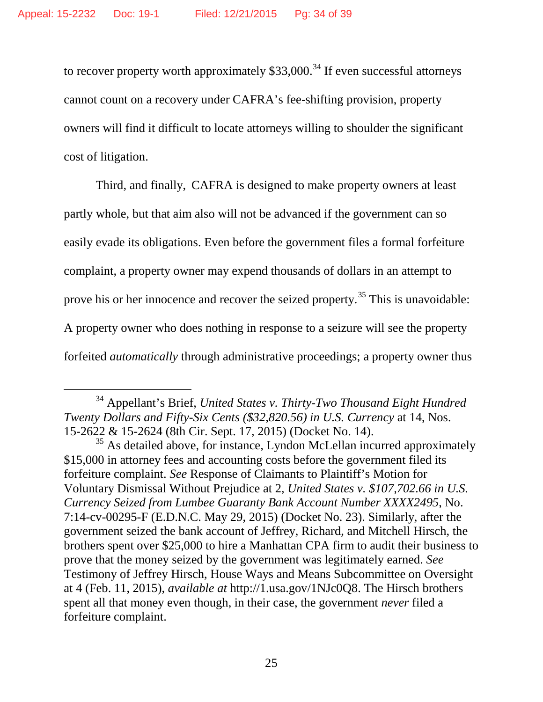to recover property worth approximately  $$33,000.<sup>34</sup>$  $$33,000.<sup>34</sup>$  $$33,000.<sup>34</sup>$  If even successful attorneys cannot count on a recovery under CAFRA's fee-shifting provision, property owners will find it difficult to locate attorneys willing to shoulder the significant cost of litigation.

Third, and finally, CAFRA is designed to make property owners at least partly whole, but that aim also will not be advanced if the government can so easily evade its obligations. Even before the government files a formal forfeiture complaint, a property owner may expend thousands of dollars in an attempt to prove his or her innocence and recover the seized property.<sup>[35](#page-33-1)</sup> This is unavoidable: A property owner who does nothing in response to a seizure will see the property forfeited *automatically* through administrative proceedings; a property owner thus

<span id="page-33-0"></span> <sup>34</sup> Appellant's Brief, *United States v. Thirty-Two Thousand Eight Hundred Twenty Dollars and Fifty-Six Cents (\$32,820.56) in U.S. Currency* at 14, Nos. 15-2622 & 15-2624 (8th Cir. Sept. 17, 2015) (Docket No. 14).

<span id="page-33-1"></span> $35$  As detailed above, for instance, Lyndon McLellan incurred approximately \$15,000 in attorney fees and accounting costs before the government filed its forfeiture complaint. *See* Response of Claimants to Plaintiff's Motion for Voluntary Dismissal Without Prejudice at 2, *United States v. \$107,702.66 in U.S. Currency Seized from Lumbee Guaranty Bank Account Number XXXX2495*, No. 7:14-cv-00295-F (E.D.N.C. May 29, 2015) (Docket No. 23). Similarly, after the government seized the bank account of Jeffrey, Richard, and Mitchell Hirsch, the brothers spent over \$25,000 to hire a Manhattan CPA firm to audit their business to prove that the money seized by the government was legitimately earned. *See*  Testimony of Jeffrey Hirsch, House Ways and Means Subcommittee on Oversight at 4 (Feb. 11, 2015), *available at* http://1.usa.gov/1NJc0Q8. The Hirsch brothers spent all that money even though, in their case, the government *never* filed a forfeiture complaint.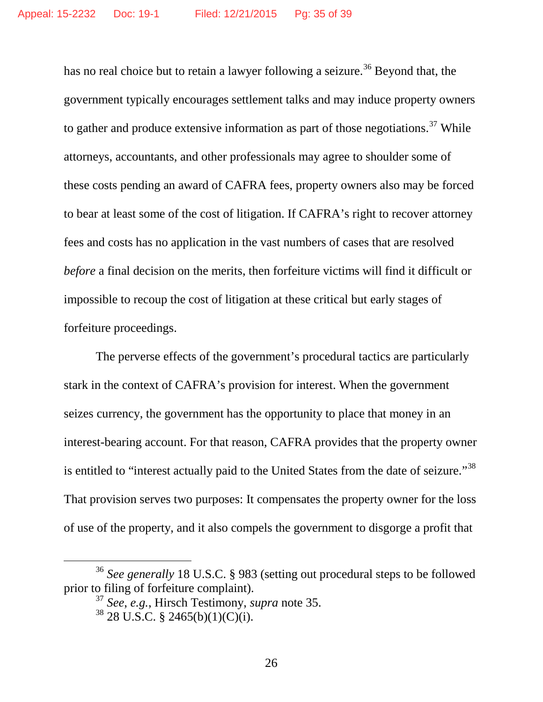has no real choice but to retain a lawyer following a seizure.<sup>[36](#page-34-0)</sup> Beyond that, the government typically encourages settlement talks and may induce property owners to gather and produce extensive information as part of those negotiations.<sup>[37](#page-34-1)</sup> While attorneys, accountants, and other professionals may agree to shoulder some of these costs pending an award of CAFRA fees, property owners also may be forced to bear at least some of the cost of litigation. If CAFRA's right to recover attorney fees and costs has no application in the vast numbers of cases that are resolved *before* a final decision on the merits, then forfeiture victims will find it difficult or impossible to recoup the cost of litigation at these critical but early stages of forfeiture proceedings.

The perverse effects of the government's procedural tactics are particularly stark in the context of CAFRA's provision for interest. When the government seizes currency, the government has the opportunity to place that money in an interest-bearing account. For that reason, CAFRA provides that the property owner is entitled to "interest actually paid to the United States from the date of seizure."<sup>[38](#page-34-2)</sup> That provision serves two purposes: It compensates the property owner for the loss of use of the property, and it also compels the government to disgorge a profit that

<span id="page-34-2"></span><span id="page-34-1"></span><span id="page-34-0"></span> <sup>36</sup> *See generally* 18 U.S.C. § 983 (setting out procedural steps to be followed prior to filing of forfeiture complaint).

<sup>37</sup> *See*, *e.g.*, Hirsch Testimony, *supra* note 35. <sup>38</sup> 28 U.S.C. § 2465(b)(1)(C)(i).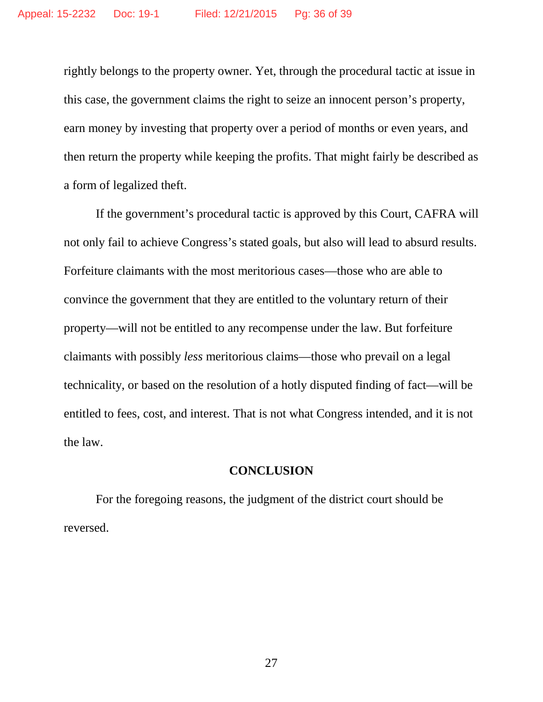rightly belongs to the property owner. Yet, through the procedural tactic at issue in this case, the government claims the right to seize an innocent person's property, earn money by investing that property over a period of months or even years, and then return the property while keeping the profits. That might fairly be described as a form of legalized theft.

If the government's procedural tactic is approved by this Court, CAFRA will not only fail to achieve Congress's stated goals, but also will lead to absurd results. Forfeiture claimants with the most meritorious cases—those who are able to convince the government that they are entitled to the voluntary return of their property—will not be entitled to any recompense under the law. But forfeiture claimants with possibly *less* meritorious claims—those who prevail on a legal technicality, or based on the resolution of a hotly disputed finding of fact—will be entitled to fees, cost, and interest. That is not what Congress intended, and it is not the law.

### **CONCLUSION**

For the foregoing reasons, the judgment of the district court should be reversed.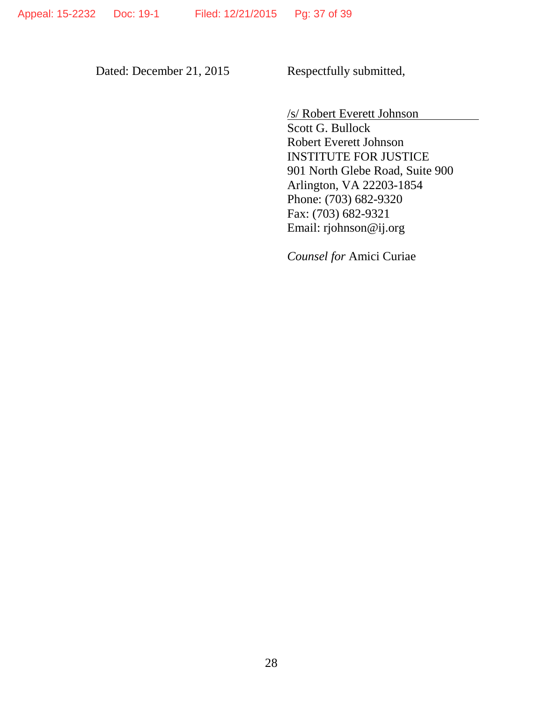Dated: December 21, 2015 Respectfully submitted,

/s/ Robert Everett Johnson

Scott G. Bullock Robert Everett Johnson INSTITUTE FOR JUSTICE 901 North Glebe Road, Suite 900 Arlington, VA 22203-1854 Phone: (703) 682-9320 Fax: (703) 682-9321 Email: rjohnson@ij.org

*Counsel for* Amici Curiae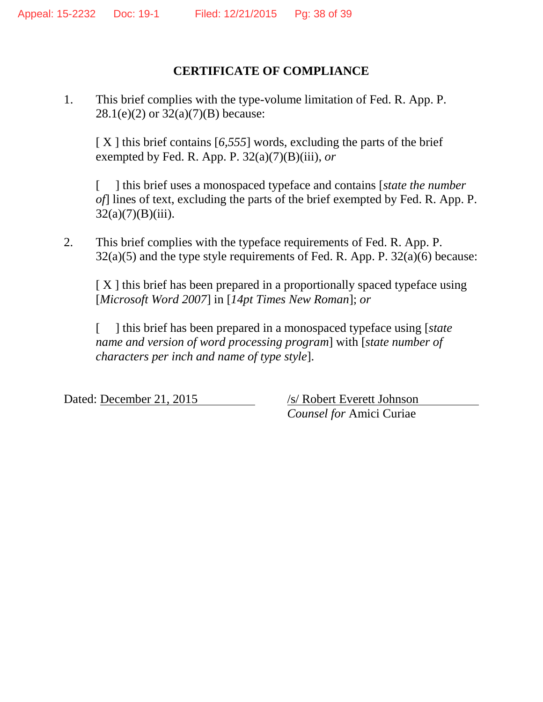## **CERTIFICATE OF COMPLIANCE**

1. This brief complies with the type-volume limitation of Fed. R. App. P.  $28.1(e)(2)$  or  $32(a)(7)(B)$  because:

[ X ] this brief contains [6,555] words, excluding the parts of the brief exempted by Fed. R. App. P.  $32(a)(7)(B)(iii)$ , *or* 

[ ] this brief uses a monospaced typeface and contains [*state the number of*] lines of text, excluding the parts of the brief exempted by Fed. R. App. P.  $32(a)(7)(B)(iii)$ .

2. This brief complies with the typeface requirements of Fed. R. App. P.  $32(a)(5)$  and the type style requirements of Fed. R. App. P.  $32(a)(6)$  because:

 $[X]$  this brief has been prepared in a proportionally spaced typeface using [*Microsoft Word 2007*] in [*14pt Times New Roman*]; *or*

[ ] this brief has been prepared in a monospaced typeface using [*state name and version of word processing program*] with [*state number of characters per inch and name of type style*].

Dated: December 21, 2015 /s/ Robert Everett Johnson

*Counsel for* Amici Curiae